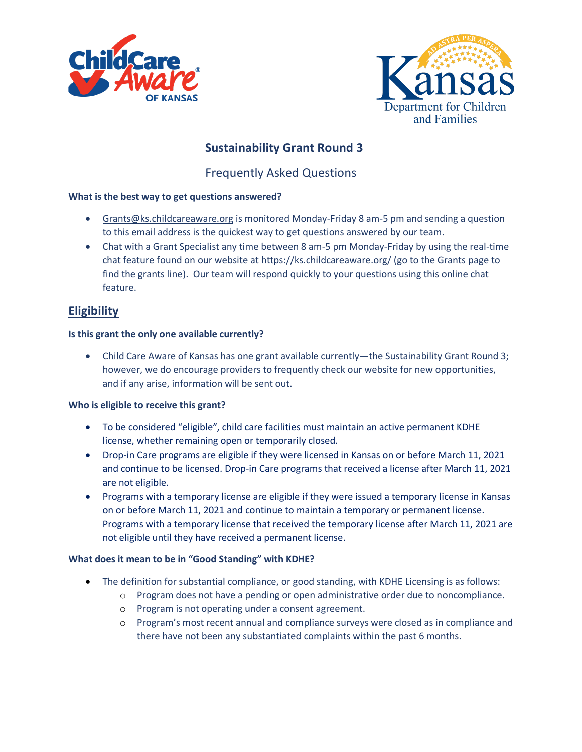



# **Sustainability Grant Round 3**

Frequently Asked Questions

## **What is the best way to get questions answered?**

- [Grants@ks.childcareaware.org](mailto:Grants@ks.childcareaware.org) is monitored Monday-Friday 8 am-5 pm and sending a question to this email address is the quickest way to get questions answered by our team.
- Chat with a Grant Specialist any time between 8 am-5 pm Monday-Friday by using the real-time chat feature found on our website at<https://ks.childcareaware.org/> (go to the Grants page to find the grants line). Our team will respond quickly to your questions using this online chat feature.

# **Eligibility**

## **Is this grant the only one available currently?**

• Child Care Aware of Kansas has one grant available currently—the Sustainability Grant Round 3; however, we do encourage providers to frequently check our website for new opportunities, and if any arise, information will be sent out.

#### **Who is eligible to receive this grant?**

- To be considered "eligible", child care facilities must maintain an active permanent KDHE license, whether remaining open or temporarily closed.
- Drop-in Care programs are eligible if they were licensed in Kansas on or before March 11, 2021 and continue to be licensed. Drop-in Care programs that received a license after March 11, 2021 are not eligible.
- Programs with a temporary license are eligible if they were issued a temporary license in Kansas on or before March 11, 2021 and continue to maintain a temporary or permanent license. Programs with a temporary license that received the temporary license after March 11, 2021 are not eligible until they have received a permanent license.

# **What does it mean to be in "Good Standing" with KDHE?**

- The definition for substantial compliance, or good standing, with KDHE Licensing is as follows:
	- o Program does not have a pending or open administrative order due to noncompliance.
	- o Program is not operating under a consent agreement.
	- o Program's most recent annual and compliance surveys were closed as in compliance and there have not been any substantiated complaints within the past 6 months.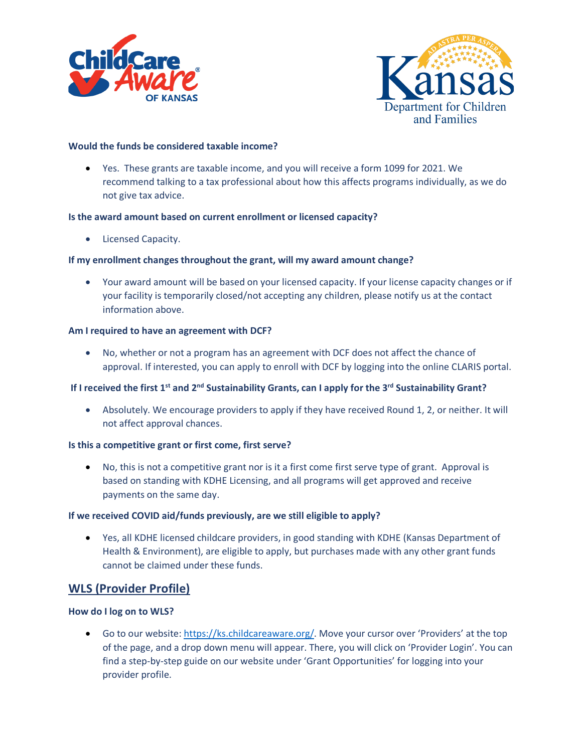



#### **Would the funds be considered taxable income?**

• Yes. These grants are taxable income, and you will receive a form 1099 for 2021. We recommend talking to a tax professional about how this affects programs individually, as we do not give tax advice.

#### **Is the award amount based on current enrollment or licensed capacity?**

• Licensed Capacity.

#### **If my enrollment changes throughout the grant, will my award amount change?**

• Your award amount will be based on your licensed capacity. If your license capacity changes or if your facility is temporarily closed/not accepting any children, please notify us at the contact information above.

#### **Am I required to have an agreement with DCF?**

• No, whether or not a program has an agreement with DCF does not affect the chance of approval. If interested, you can apply to enroll with DCF by logging into the online CLARIS portal.

# **If I received the first 1st and 2nd Sustainability Grants, can I apply for the 3rd Sustainability Grant?**

• Absolutely. We encourage providers to apply if they have received Round 1, 2, or neither. It will not affect approval chances.

#### **Is this a competitive grant or first come, first serve?**

• No, this is not a competitive grant nor is it a first come first serve type of grant. Approval is based on standing with KDHE Licensing, and all programs will get approved and receive payments on the same day.

#### **If we received COVID aid/funds previously, are we still eligible to apply?**

• Yes, all KDHE licensed childcare providers, in good standing with KDHE (Kansas Department of Health & Environment), are eligible to apply, but purchases made with any other grant funds cannot be claimed under these funds.

# **WLS (Provider Profile)**

#### **How do I log on to WLS?**

• Go to our website[: https://ks.childcareaware.org/.](https://ks.childcareaware.org/) Move your cursor over 'Providers' at the top of the page, and a drop down menu will appear. There, you will click on 'Provider Login'. You can find a step-by-step guide on our website under 'Grant Opportunities' for logging into your provider profile.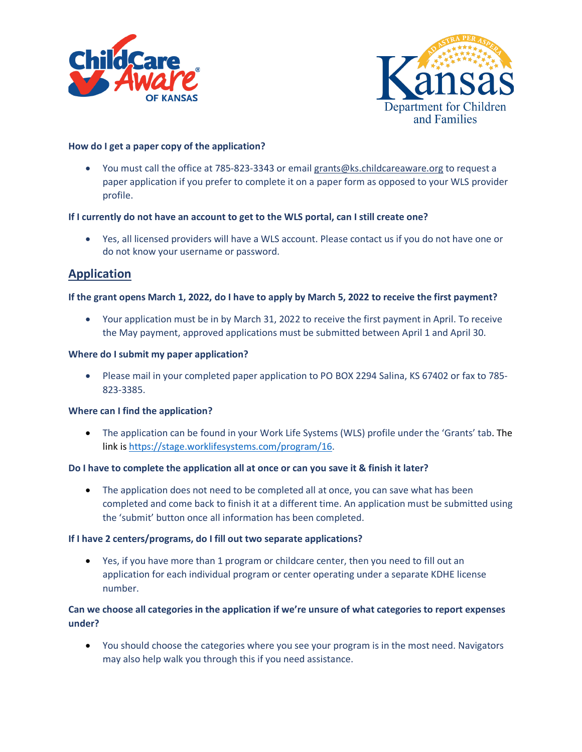



#### **How do I get a paper copy of the application?**

• You must call the office at 785-823-3343 or emai[l grants@ks.childcareaware.org](mailto:grants@ks.child) to request a paper application if you prefer to complete it on a paper form as opposed to your WLS provider profile.

## **If I currently do not have an account to get to the WLS portal, can I still create one?**

• Yes, all licensed providers will have a WLS account. Please contact us if you do not have one or do not know your username or password.

# **Application**

## **If the grant opens March 1, 2022, do I have to apply by March 5, 2022 to receive the first payment?**

• Your application must be in by March 31, 2022 to receive the first payment in April. To receive the May payment, approved applications must be submitted between April 1 and April 30.

#### **Where do I submit my paper application?**

• Please mail in your completed paper application to PO BOX 2294 Salina, KS 67402 or fax to 785- 823-3385.

#### **Where can I find the application?**

• The application can be found in your Work Life Systems (WLS) profile under the 'Grants' tab. The link i[s https://stage.worklifesystems.com/program/16.](https://stage.worklifesystems.com/program/16)

#### **Do I have to complete the application all at once or can you save it & finish it later?**

• The application does not need to be completed all at once, you can save what has been completed and come back to finish it at a different time. An application must be submitted using the 'submit' button once all information has been completed.

#### **If I have 2 centers/programs, do I fill out two separate applications?**

• Yes, if you have more than 1 program or childcare center, then you need to fill out an application for each individual program or center operating under a separate KDHE license number.

# **Can we choose all categories in the application if we're unsure of what categories to report expenses under?**

• You should choose the categories where you see your program is in the most need. Navigators may also help walk you through this if you need assistance.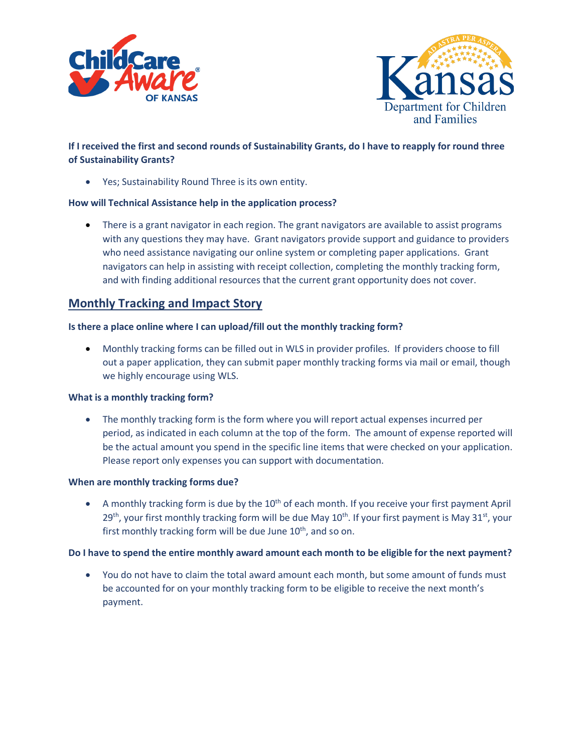



# **If I received the first and second rounds of Sustainability Grants, do I have to reapply for round three of Sustainability Grants?**

• Yes; Sustainability Round Three is its own entity.

#### **How will Technical Assistance help in the application process?**

• There is a grant navigator in each region. The grant navigators are available to assist programs with any questions they may have. Grant navigators provide support and guidance to providers who need assistance navigating our online system or completing paper applications. Grant navigators can help in assisting with receipt collection, completing the monthly tracking form, and with finding additional resources that the current grant opportunity does not cover.

# **Monthly Tracking and Impact Story**

#### **Is there a place online where I can upload/fill out the monthly tracking form?**

• Monthly tracking forms can be filled out in WLS in provider profiles. If providers choose to fill out a paper application, they can submit paper monthly tracking forms via mail or email, though we highly encourage using WLS.

#### **What is a monthly tracking form?**

• The monthly tracking form is the form where you will report actual expenses incurred per period, as indicated in each column at the top of the form. The amount of expense reported will be the actual amount you spend in the specific line items that were checked on your application. Please report only expenses you can support with documentation.

#### **When are monthly tracking forms due?**

• A monthly tracking form is due by the  $10<sup>th</sup>$  of each month. If you receive your first payment April  $29<sup>th</sup>$ , your first monthly tracking form will be due May  $10<sup>th</sup>$ . If your first payment is May  $31<sup>st</sup>$ , your first monthly tracking form will be due June  $10<sup>th</sup>$ , and so on.

#### **Do I have to spend the entire monthly award amount each month to be eligible for the next payment?**

• You do not have to claim the total award amount each month, but some amount of funds must be accounted for on your monthly tracking form to be eligible to receive the next month's payment.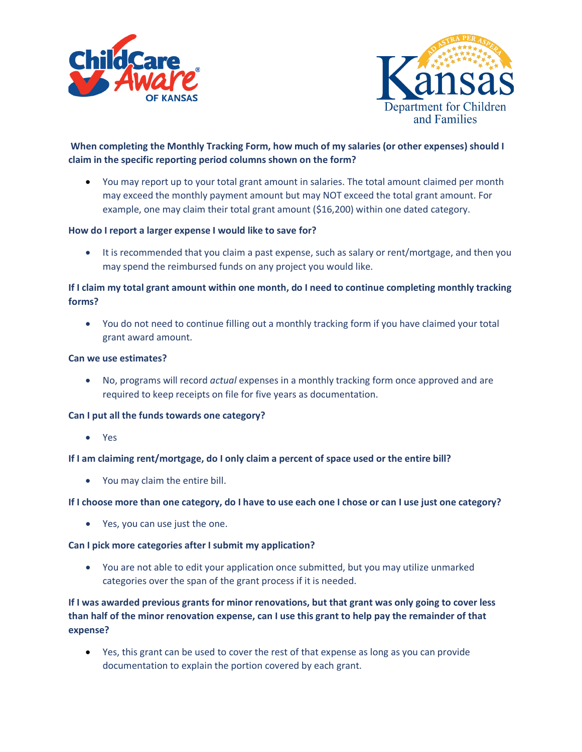



# **When completing the Monthly Tracking Form, how much of my salaries (or other expenses) should I claim in the specific reporting period columns shown on the form?**

• You may report up to your total grant amount in salaries. The total amount claimed per month may exceed the monthly payment amount but may NOT exceed the total grant amount. For example, one may claim their total grant amount (\$16,200) within one dated category.

## **How do I report a larger expense I would like to save for?**

• It is recommended that you claim a past expense, such as salary or rent/mortgage, and then you may spend the reimbursed funds on any project you would like.

# **If I claim my total grant amount within one month, do I need to continue completing monthly tracking forms?**

• You do not need to continue filling out a monthly tracking form if you have claimed your total grant award amount.

#### **Can we use estimates?**

• No, programs will record *actual* expenses in a monthly tracking form once approved and are required to keep receipts on file for five years as documentation.

#### **Can I put all the funds towards one category?**

• Yes

#### **If I am claiming rent/mortgage, do I only claim a percent of space used or the entire bill?**

• You may claim the entire bill.

#### **If I choose more than one category, do I have to use each one I chose or can I use just one category?**

• Yes, you can use just the one.

#### **Can I pick more categories after I submit my application?**

• You are not able to edit your application once submitted, but you may utilize unmarked categories over the span of the grant process if it is needed.

**If I was awarded previous grants for minor renovations, but that grant was only going to cover less than half of the minor renovation expense, can I use this grant to help pay the remainder of that expense?**

• Yes, this grant can be used to cover the rest of that expense as long as you can provide documentation to explain the portion covered by each grant.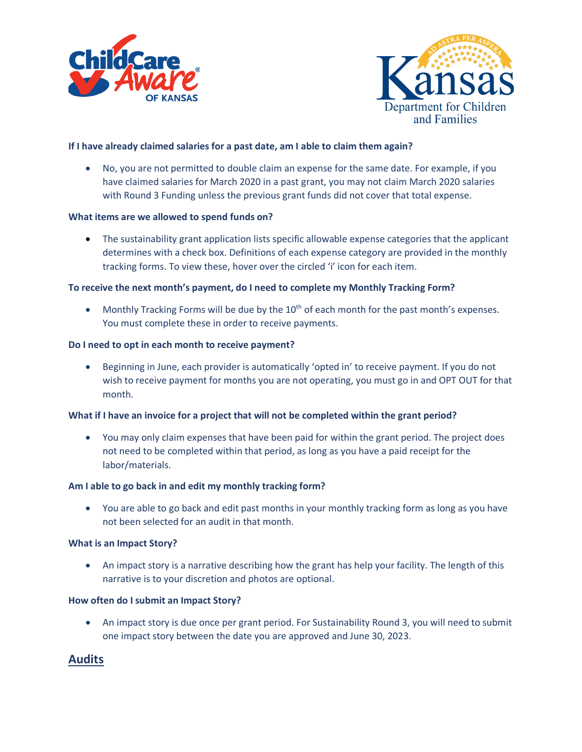



#### **If I have already claimed salaries for a past date, am I able to claim them again?**

• No, you are not permitted to double claim an expense for the same date. For example, if you have claimed salaries for March 2020 in a past grant, you may not claim March 2020 salaries with Round 3 Funding unless the previous grant funds did not cover that total expense.

#### **What items are we allowed to spend funds on?**

• The sustainability grant application lists specific allowable expense categories that the applicant determines with a check box. Definitions of each expense category are provided in the monthly tracking forms. To view these, hover over the circled 'i' icon for each item.

#### **To receive the next month's payment, do I need to complete my Monthly Tracking Form?**

• Monthly Tracking Forms will be due by the  $10<sup>th</sup>$  of each month for the past month's expenses. You must complete these in order to receive payments.

#### **Do I need to opt in each month to receive payment?**

• Beginning in June, each provider is automatically 'opted in' to receive payment. If you do not wish to receive payment for months you are not operating, you must go in and OPT OUT for that month.

#### **What if I have an invoice for a project that will not be completed within the grant period?**

• You may only claim expenses that have been paid for within the grant period. The project does not need to be completed within that period, as long as you have a paid receipt for the labor/materials.

#### **Am I able to go back in and edit my monthly tracking form?**

• You are able to go back and edit past months in your monthly tracking form as long as you have not been selected for an audit in that month.

#### **What is an Impact Story?**

• An impact story is a narrative describing how the grant has help your facility. The length of this narrative is to your discretion and photos are optional.

#### **How often do I submit an Impact Story?**

• An impact story is due once per grant period. For Sustainability Round 3, you will need to submit one impact story between the date you are approved and June 30, 2023.

# **Audits**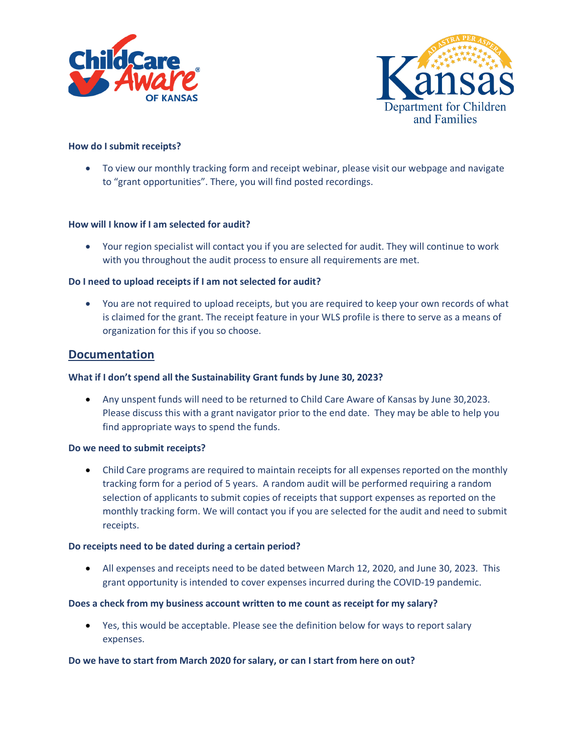



#### **How do I submit receipts?**

• To view our monthly tracking form and receipt webinar, please visit our webpage and navigate to "grant opportunities". There, you will find posted recordings.

#### **How will I know if I am selected for audit?**

• Your region specialist will contact you if you are selected for audit. They will continue to work with you throughout the audit process to ensure all requirements are met.

#### **Do I need to upload receipts if I am not selected for audit?**

• You are not required to upload receipts, but you are required to keep your own records of what is claimed for the grant. The receipt feature in your WLS profile is there to serve as a means of organization for this if you so choose.

## **Documentation**

#### **What if I don't spend all the Sustainability Grant funds by June 30, 2023?**

• Any unspent funds will need to be returned to Child Care Aware of Kansas by June 30,2023. Please discuss this with a grant navigator prior to the end date. They may be able to help you find appropriate ways to spend the funds.

#### **Do we need to submit receipts?**

• Child Care programs are required to maintain receipts for all expenses reported on the monthly tracking form for a period of 5 years. A random audit will be performed requiring a random selection of applicants to submit copies of receipts that support expenses as reported on the monthly tracking form. We will contact you if you are selected for the audit and need to submit receipts.

#### **Do receipts need to be dated during a certain period?**

• All expenses and receipts need to be dated between March 12, 2020, and June 30, 2023. This grant opportunity is intended to cover expenses incurred during the COVID-19 pandemic.

#### **Does a check from my business account written to me count as receipt for my salary?**

• Yes, this would be acceptable. Please see the definition below for ways to report salary expenses.

#### **Do we have to start from March 2020 for salary, or can I start from here on out?**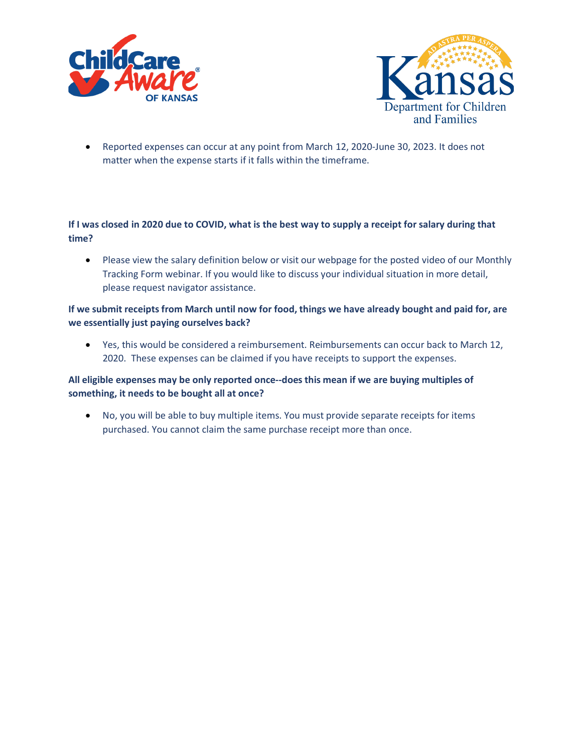



• Reported expenses can occur at any point from March 12, 2020-June 30, 2023. It does not matter when the expense starts if it falls within the timeframe.

# **If I was closed in 2020 due to COVID, what is the best way to supply a receipt for salary during that time?**

• Please view the salary definition below or visit our webpage for the posted video of our Monthly Tracking Form webinar. If you would like to discuss your individual situation in more detail, please request navigator assistance.

# **If we submit receipts from March until now for food, things we have already bought and paid for, are we essentially just paying ourselves back?**

• Yes, this would be considered a reimbursement. Reimbursements can occur back to March 12, 2020. These expenses can be claimed if you have receipts to support the expenses.

# **All eligible expenses may be only reported once--does this mean if we are buying multiples of something, it needs to be bought all at once?**

• No, you will be able to buy multiple items. You must provide separate receipts for items purchased. You cannot claim the same purchase receipt more than once.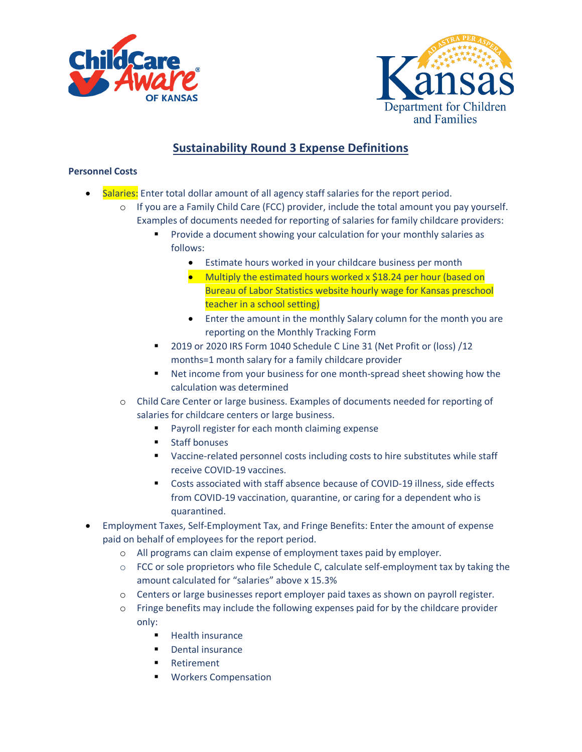



# **Sustainability Round 3 Expense Definitions**

# **Personnel Costs**

- Salaries: Enter total dollar amount of all agency staff salaries for the report period.
	- o If you are a Family Child Care (FCC) provider, include the total amount you pay yourself. Examples of documents needed for reporting of salaries for family childcare providers:
		- Provide a document showing your calculation for your monthly salaries as follows:
			- Estimate hours worked in your childcare business per month
			- Multiply the estimated hours worked x \$18.24 per hour (based on Bureau of Labor Statistics website hourly wage for Kansas preschool teacher in a school setting)
			- Enter the amount in the monthly Salary column for the month you are reporting on the Monthly Tracking Form
		- 2019 or 2020 IRS Form 1040 Schedule C Line 31 (Net Profit or (loss) /12 months=1 month salary for a family childcare provider
		- Net income from your business for one month-spread sheet showing how the calculation was determined
	- o Child Care Center or large business. Examples of documents needed for reporting of salaries for childcare centers or large business.
		- **Payroll register for each month claiming expense**
		- **Staff bonuses**
		- Vaccine-related personnel costs including costs to hire substitutes while staff receive COVID-19 vaccines.
		- Costs associated with staff absence because of COVID-19 illness, side effects from COVID-19 vaccination, quarantine, or caring for a dependent who is quarantined.
- Employment Taxes, Self-Employment Tax, and Fringe Benefits: Enter the amount of expense paid on behalf of employees for the report period.
	- o All programs can claim expense of employment taxes paid by employer.
	- $\circ$  FCC or sole proprietors who file Schedule C, calculate self-employment tax by taking the amount calculated for "salaries" above x 15.3%
	- o Centers or large businesses report employer paid taxes as shown on payroll register.
	- o Fringe benefits may include the following expenses paid for by the childcare provider only:
		- $H$  Health insurance
		- **•** Dental insurance
		- Retirement
		- **Workers Compensation**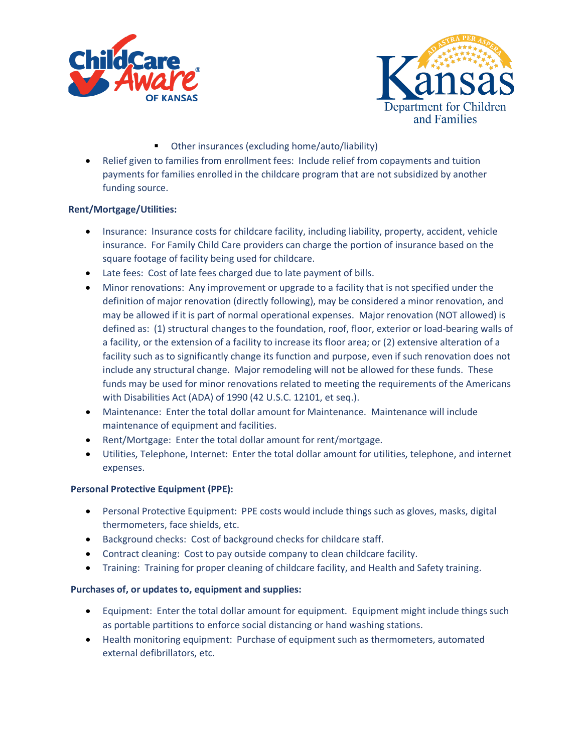



- Other insurances (excluding home/auto/liability)
- Relief given to families from enrollment fees: Include relief from copayments and tuition payments for families enrolled in the childcare program that are not subsidized by another funding source.

## **Rent/Mortgage/Utilities:**

- Insurance: Insurance costs for childcare facility, including liability, property, accident, vehicle insurance. For Family Child Care providers can charge the portion of insurance based on the square footage of facility being used for childcare.
- Late fees: Cost of late fees charged due to late payment of bills.
- Minor renovations: Any improvement or upgrade to a facility that is not specified under the definition of major renovation (directly following), may be considered a minor renovation, and may be allowed if it is part of normal operational expenses. Major renovation (NOT allowed) is defined as: (1) structural changes to the foundation, roof, floor, exterior or load-bearing walls of a facility, or the extension of a facility to increase its floor area; or (2) extensive alteration of a facility such as to significantly change its function and purpose, even if such renovation does not include any structural change. Major remodeling will not be allowed for these funds. These funds may be used for minor renovations related to meeting the requirements of the Americans with Disabilities Act (ADA) of 1990 (42 U.S.C. 12101, et seq.).
- Maintenance: Enter the total dollar amount for Maintenance. Maintenance will include maintenance of equipment and facilities.
- Rent/Mortgage: Enter the total dollar amount for rent/mortgage.
- Utilities, Telephone, Internet: Enter the total dollar amount for utilities, telephone, and internet expenses.

# **Personal Protective Equipment (PPE):**

- Personal Protective Equipment: PPE costs would include things such as gloves, masks, digital thermometers, face shields, etc.
- Background checks: Cost of background checks for childcare staff.
- Contract cleaning: Cost to pay outside company to clean childcare facility.
- Training: Training for proper cleaning of childcare facility, and Health and Safety training.

# **Purchases of, or updates to, equipment and supplies:**

- Equipment: Enter the total dollar amount for equipment. Equipment might include things such as portable partitions to enforce social distancing or hand washing stations.
- Health monitoring equipment: Purchase of equipment such as thermometers, automated external defibrillators, etc.